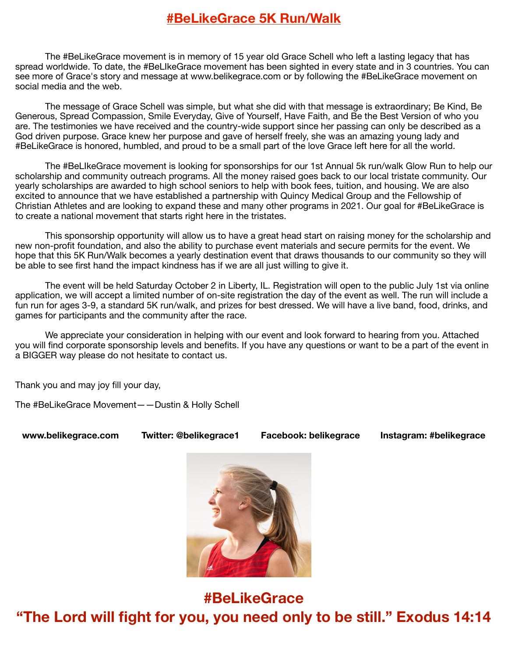# **#BeLikeGrace 5K Run/Walk**

The #BeLikeGrace movement is in memory of 15 year old Grace Schell who left a lasting legacy that has spread worldwide. To date, the #BeLIkeGrace movement has been sighted in every state and in 3 countries. You can see more of Grace's story and message at www.belikegrace.com or by following the #BeLikeGrace movement on social media and the web.

The message of Grace Schell was simple, but what she did with that message is extraordinary; Be Kind, Be Generous, Spread Compassion, Smile Everyday, Give of Yourself, Have Faith, and Be the Best Version of who you are. The testimonies we have received and the country-wide support since her passing can only be described as a God driven purpose. Grace knew her purpose and gave of herself freely, she was an amazing young lady and #BeLikeGrace is honored, humbled, and proud to be a small part of the love Grace left here for all the world.

The #BeLIkeGrace movement is looking for sponsorships for our 1st Annual 5k run/walk Glow Run to help our scholarship and community outreach programs. All the money raised goes back to our local tristate community. Our yearly scholarships are awarded to high school seniors to help with book fees, tuition, and housing. We are also excited to announce that we have established a partnership with Quincy Medical Group and the Fellowship of Christian Athletes and are looking to expand these and many other programs in 2021. Our goal for #BeLikeGrace is to create a national movement that starts right here in the tristates.

This sponsorship opportunity will allow us to have a great head start on raising money for the scholarship and new non-profit foundation, and also the ability to purchase event materials and secure permits for the event. We hope that this 5K Run/Walk becomes a yearly destination event that draws thousands to our community so they will be able to see first hand the impact kindness has if we are all just willing to give it.

The event will be held Saturday October 2 in Liberty, IL. Registration will open to the public July 1st via online application, we will accept a limited number of on-site registration the day of the event as well. The run will include a fun run for ages 3-9, a standard 5K run/walk, and prizes for best dressed. We will have a live band, food, drinks, and games for participants and the community after the race.

We appreciate your consideration in helping with our event and look forward to hearing from you. Attached you will find corporate sponsorship levels and benefits. If you have any questions or want to be a part of the event in a BIGGER way please do not hesitate to contact us.

Thank you and may joy fill your day,

The #BeLikeGrace Movement——Dustin & Holly Schell

**www.belikegrace.com Twitter: @belikegrace1 Facebook: belikegrace Instagram: #belikegrace** 



**#BeLikeGrace "The Lord will fight for you, you need only to be still." Exodus 14:14**